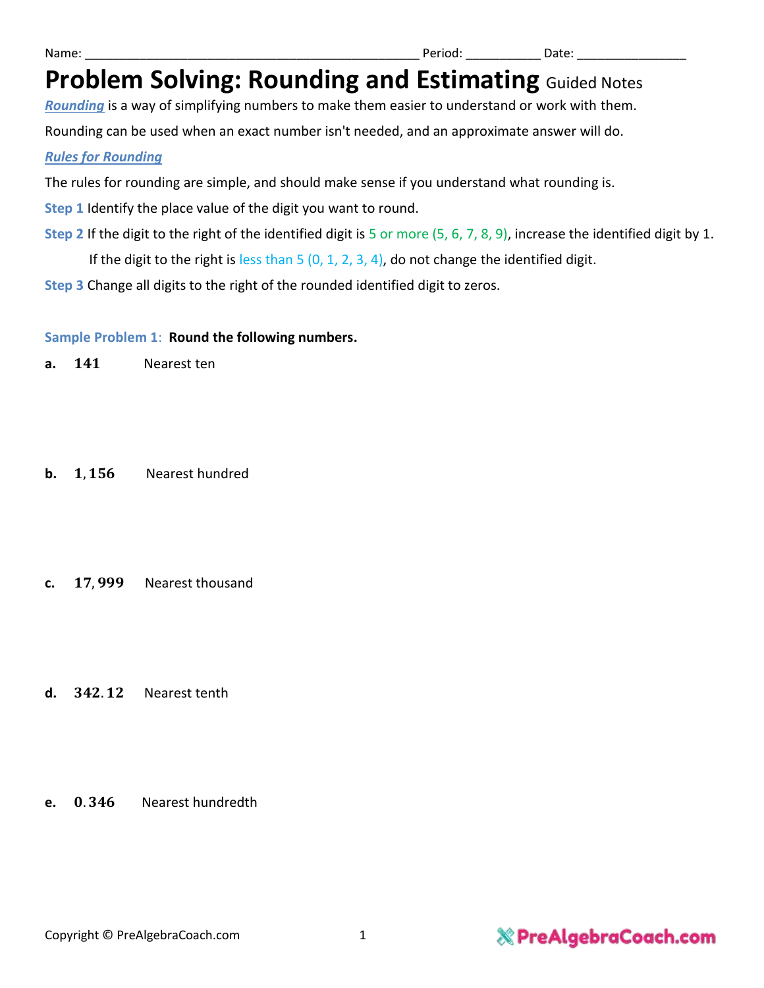*Rounding* is a way of simplifying numbers to make them easier to understand or work with them.

Rounding can be used when an exact number isn't needed, and an approximate answer will do.

### *Rules for Rounding*

The rules for rounding are simple, and should make sense if you understand what rounding is.

**Step 1** Identify the place value of the digit you want to round.

**Step 2** If the digit to the right of the identified digit is 5 or more (5, 6, 7, 8, 9), increase the identified digit by 1.

If the digit to the right is less than  $5$  (0, 1, 2, 3, 4), do not change the identified digit.

**Step 3** Change all digits to the right of the rounded identified digit to zeros.

### **Sample Problem 1**: **Round the following numbers.**

**a.** 141 Nearest ten

**b.** 1, 156 Nearest hundred

- c. 17,999 Nearest thousand
- d. 342.12 Nearest tenth
- **e.** 0.346 Nearest hundredth

### **& PreAlgebraCoach.com**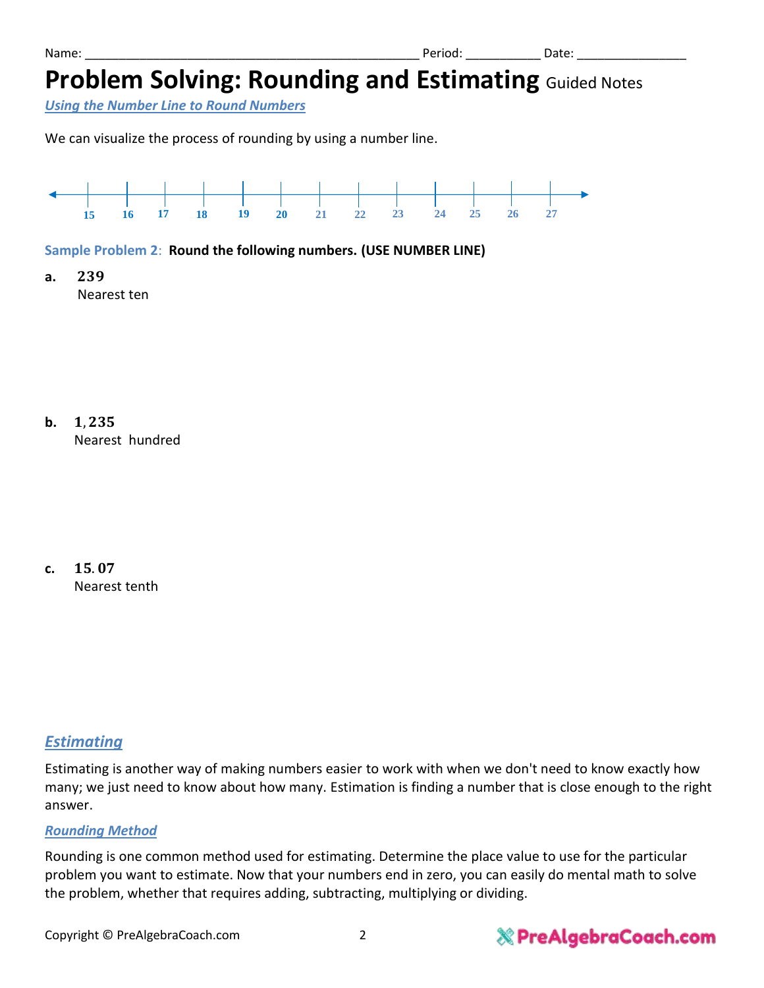*Using the Number Line to Round Numbers*

We can visualize the process of rounding by using a number line.



**Sample Problem 2**: **Round the following numbers. (USE NUMBER LINE)**

**a.** Nearest ten

 $b. 1,235$ Nearest hundred

c. 15.07 Nearest tenth

### *Estimating*

Estimating is another way of making numbers easier to work with when we don't need to know exactly how many; we just need to know about how many. Estimation is finding a number that is close enough to the right answer.

### *Rounding Method*

Rounding is one common method used for estimating. Determine the place value to use for the particular problem you want to estimate. Now that your numbers end in zero, you can easily do mental math to solve the problem, whether that requires adding, subtracting, multiplying or dividing.

## **& PreAlgebraCoach.com**

Name: \_\_\_\_\_\_\_\_\_\_\_\_\_\_\_\_\_\_\_\_\_\_\_\_\_\_\_\_\_\_\_\_\_\_\_\_\_\_\_\_\_\_\_\_\_\_\_\_\_ Period: \_\_\_\_\_\_\_\_\_\_\_ Date: \_\_\_\_\_\_\_\_\_\_\_\_\_\_\_\_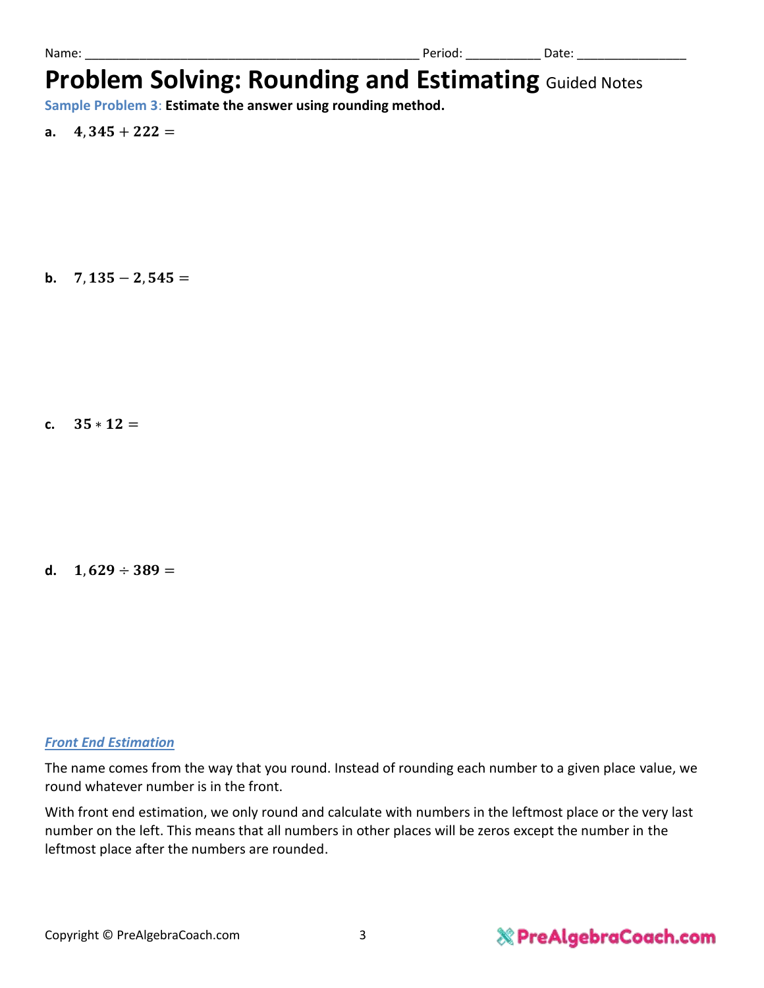**Sample Problem 3**: **Estimate the answer using rounding method.**

a.  $4.345 + 222 =$ 

**b.**  $7.135 - 2.545 =$ 

c.  $35 * 12 =$ 

d.  $1,629 \div 389 =$ 

### *Front End Estimation*

The name comes from the way that you round. Instead of rounding each number to a given place value, we round whatever number is in the front.

With front end estimation, we only round and calculate with numbers in the leftmost place or the very last number on the left. This means that all numbers in other places will be zeros except the number in the leftmost place after the numbers are rounded.